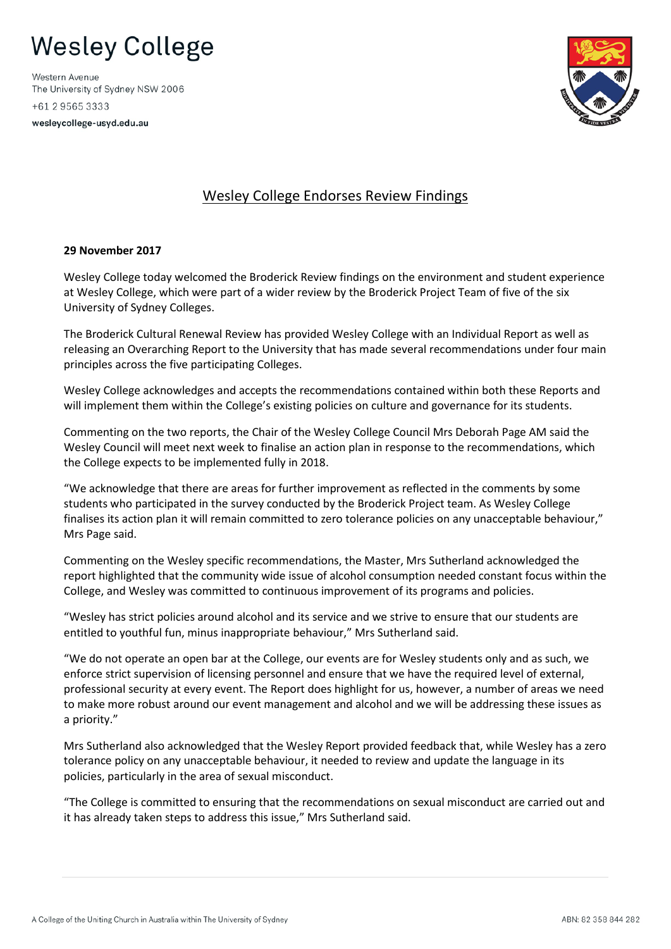## **Wesley College**

Western Avenue The University of Sydney NSW 2006 +61 2 9565 3333

wesleycollege-usyd.edu.au



## Wesley College Endorses Review Findings

## **29 November 2017**

Wesley College today welcomed the Broderick Review findings on the environment and student experience at Wesley College, which were part of a wider review by the Broderick Project Team of five of the six University of Sydney Colleges.

The Broderick Cultural Renewal Review has provided Wesley College with an Individual Report as well as releasing an Overarching Report to the University that has made several recommendations under four main principles across the five participating Colleges.

Wesley College acknowledges and accepts the recommendations contained within both these Reports and will implement them within the College's existing policies on culture and governance for its students.

Commenting on the two reports, the Chair of the Wesley College Council Mrs Deborah Page AM said the Wesley Council will meet next week to finalise an action plan in response to the recommendations, which the College expects to be implemented fully in 2018.

"We acknowledge that there are areas for further improvement as reflected in the comments by some students who participated in the survey conducted by the Broderick Project team. As Wesley College finalises its action plan it will remain committed to zero tolerance policies on any unacceptable behaviour," Mrs Page said.

Commenting on the Wesley specific recommendations, the Master, Mrs Sutherland acknowledged the report highlighted that the community wide issue of alcohol consumption needed constant focus within the College, and Wesley was committed to continuous improvement of its programs and policies.

"Wesley has strict policies around alcohol and its service and we strive to ensure that our students are entitled to youthful fun, minus inappropriate behaviour," Mrs Sutherland said.

"We do not operate an open bar at the College, our events are for Wesley students only and as such, we enforce strict supervision of licensing personnel and ensure that we have the required level of external, professional security at every event. The Report does highlight for us, however, a number of areas we need to make more robust around our event management and alcohol and we will be addressing these issues as a priority."

Mrs Sutherland also acknowledged that the Wesley Report provided feedback that, while Wesley has a zero tolerance policy on any unacceptable behaviour, it needed to review and update the language in its policies, particularly in the area of sexual misconduct.

"The College is committed to ensuring that the recommendations on sexual misconduct are carried out and it has already taken steps to address this issue," Mrs Sutherland said.